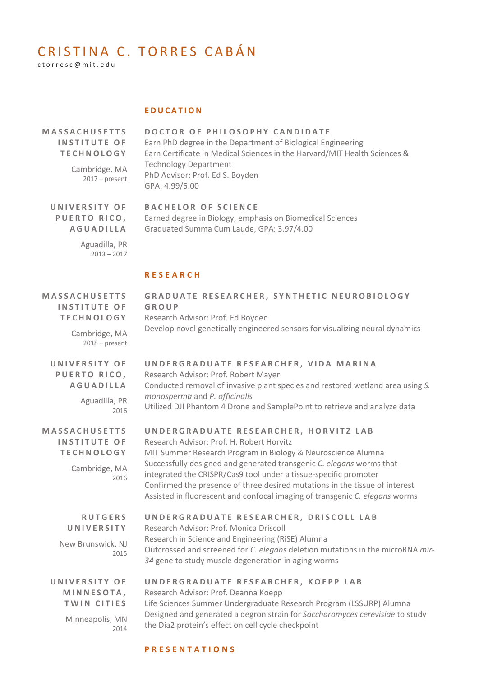# CRISTINA C. TORRES CABÁN

c t o r r e s c @ m i t . e d u

## **E D U C A T I O N**

| <b>MASSACHUSETTS</b> |  |
|----------------------|--|
| INSTITUTE OF         |  |
| <b>TECHNOLOGY</b>    |  |

Cambridge, MA 2017 – present **D O C T O R O F P H I L O S O P H Y C A N D I D A T E** Earn PhD degree in the Department of Biological Engineering Earn Certificate in Medical Sciences in the Harvard/MIT Health Sciences & Technology Department PhD Advisor: Prof. Ed S. Boyden GPA: 4.99/5.00

**U N I V E R S I T Y O F PUERTO RICO, A G U A D I L L A** **BACHELOR OF SCIENCE** Earned degree in Biology, emphasis on Biomedical Sciences Graduated Summa Cum Laude, GPA: 3.97/4.00

Aguadilla, PR  $2013 - 2017$ 

## **R E S E A R C H**

| <b>MASSACHUSETTS</b><br><b>INSTITUTE OF</b><br><b>TECHNOLOGY</b><br>Cambridge, MA<br>$2018$ – present | GRADUATE RESEARCHER, SYNTHETIC NEUROBIOLOGY<br>GROUP<br>Research Advisor: Prof. Ed Boyden<br>Develop novel genetically engineered sensors for visualizing neural dynamics                                                                                                                                                                                                                                                                                    |
|-------------------------------------------------------------------------------------------------------|--------------------------------------------------------------------------------------------------------------------------------------------------------------------------------------------------------------------------------------------------------------------------------------------------------------------------------------------------------------------------------------------------------------------------------------------------------------|
| UNIVERSITY OF<br>PUERTO RICO,<br><b>AGUADILLA</b><br>Aguadilla, PR<br>2016                            | UNDERGRADUATE RESEARCHER, VIDA MARINA<br>Research Advisor: Prof. Robert Mayer<br>Conducted removal of invasive plant species and restored wetland area using S.<br>monosperma and P. officinalis<br>Utilized DJI Phantom 4 Drone and SamplePoint to retrieve and analyze data                                                                                                                                                                                |
| <b>MASSACHUSETTS</b><br><b>INSTITUTE OF</b><br><b>TECHNOLOGY</b><br>Cambridge, MA<br>2016             | UNDERGRADUATE RESEARCHER, HORVITZ LAB<br>Research Advisor: Prof. H. Robert Horvitz<br>MIT Summer Research Program in Biology & Neuroscience Alumna<br>Successfully designed and generated transgenic C. elegans worms that<br>integrated the CRISPR/Cas9 tool under a tissue-specific promoter<br>Confirmed the presence of three desired mutations in the tissue of interest<br>Assisted in fluorescent and confocal imaging of transgenic C. elegans worms |
| <b>RUTGERS</b><br>UNIVERSITY<br>New Brunswick, NJ<br>2015                                             | UNDERGRADUATE RESEARCHER, DRISCOLL LAB<br>Research Advisor: Prof. Monica Driscoll<br>Research in Science and Engineering (RiSE) Alumna<br>Outcrossed and screened for C. elegans deletion mutations in the microRNA mir-<br>34 gene to study muscle degeneration in aging worms                                                                                                                                                                              |
| UNIVERSITY OF<br>MINNESOTA,<br>TWIN CITIES<br>Minneapolis, MN<br>2014                                 | UNDERGRADUATE RESEARCHER, KOEPP LAB<br>Research Advisor: Prof. Deanna Koepp<br>Life Sciences Summer Undergraduate Research Program (LSSURP) Alumna<br>Designed and generated a degron strain for Saccharomyces cerevisiae to study<br>the Dia2 protein's effect on cell cycle checkpoint                                                                                                                                                                     |

## **P R E S E N T A T I O N S**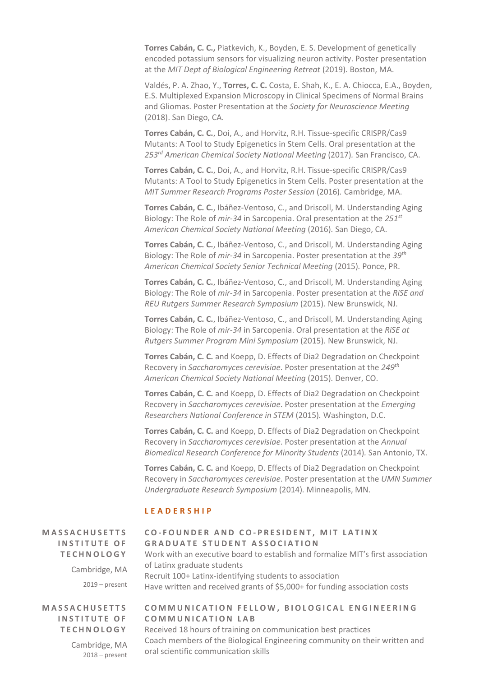**Torres Cabán, C. C.,** Piatkevich, K., Boyden, E. S. Development of genetically encoded potassium sensors for visualizing neuron activity. Poster presentation at the *MIT Dept of Biological Engineering Retreat* (2019). Boston, MA.

Valdés, P. A. Zhao, Y., **Torres, C. C.** Costa, E. Shah, K., E. A. Chiocca, E.A., Boyden, E.S. Multiplexed Expansion Microscopy in Clinical Specimens of Normal Brains and Gliomas. Poster Presentation at the *Society for Neuroscience Meeting* (2018). San Diego, CA.

**Torres Cabán, C. C.**, Doi, A., and Horvitz, R.H. Tissue-specific CRISPR/Cas9 Mutants: A Tool to Study Epigenetics in Stem Cells. Oral presentation at the *253rd American Chemical Society National Meeting* (2017)*.* San Francisco, CA.

**Torres Cabán, C. C.**, Doi, A., and Horvitz, R.H. Tissue-specific CRISPR/Cas9 Mutants: A Tool to Study Epigenetics in Stem Cells. Poster presentation at the *MIT Summer Research Programs Poster Session* (2016)*.* Cambridge, MA.

**Torres Cabán, C. C.**, Ibáñez-Ventoso, C., and Driscoll, M. Understanding Aging Biology: The Role of *mir-34* in Sarcopenia. Oral presentation at the *251st American Chemical Society National Meeting* (2016)*.* San Diego, CA.

**Torres Cabán, C. C.**, Ibáñez-Ventoso, C., and Driscoll, M. Understanding Aging Biology: The Role of *mir-34* in Sarcopenia. Poster presentation at the *39th American Chemical Society Senior Technical Meeting* (2015)*.* Ponce, PR.

**Torres Cabán, C. C.**, Ibáñez-Ventoso, C., and Driscoll, M. Understanding Aging Biology: The Role of *mir-34* in Sarcopenia. Poster presentation at the *RiSE and REU Rutgers Summer Research Symposium* (2015)*.* New Brunswick, NJ.

**Torres Cabán, C. C.**, Ibáñez-Ventoso, C., and Driscoll, M. Understanding Aging Biology: The Role of *mir-34* in Sarcopenia. Oral presentation at the *RiSE at Rutgers Summer Program Mini Symposium* (2015)*.* New Brunswick, NJ.

**Torres Cabán, C. C.** and Koepp, D. Effects of Dia2 Degradation on Checkpoint Recovery in *Saccharomyces cerevisiae*. Poster presentation at the *249th American Chemical Society National Meeting* (2015)*.* Denver, CO.

**Torres Cabán, C. C.** and Koepp, D. Effects of Dia2 Degradation on Checkpoint Recovery in *Saccharomyces cerevisiae*. Poster presentation at the *Emerging Researchers National Conference in STEM* (2015)*.* Washington, D.C.

**Torres Cabán, C. C.** and Koepp, D. Effects of Dia2 Degradation on Checkpoint Recovery in *Saccharomyces cerevisiae*. Poster presentation at the *Annual Biomedical Research Conference for Minority Students* (2014)*.* San Antonio, TX.

**Torres Cabán, C. C.** and Koepp, D. Effects of Dia2 Degradation on Checkpoint Recovery in *Saccharomyces cerevisiae*. Poster presentation at the *UMN Summer Undergraduate Research Symposium* (2014)*.* Minneapolis, MN.

## **L E A D E R S H I P**

**M A S S A C H U S E T T S INSTITUTE OF T E C H N O L O G Y**

> Cambridge, MA 2019 – present

## **M A S S A C H U S E T T S INSTITUTE OF T E C H N O L O G Y**

Cambridge, MA 2018 – present

# **C O - F O U N D E R A N D C O - P R E S I D E N T , M I T L A T I N X GRADUATE STUDENT ASSOCIATION**

Work with an executive board to establish and formalize MIT's first association of Latinx graduate students Recruit 100+ Latinx-identifying students to association Have written and received grants of \$5,000+ for funding association costs

## **COMMUNICATION FELLOW, BIOLOGICAL ENGINEERING C O M M U N I C A T I O N L A B**

Received 18 hours of training on communication best practices Coach members of the Biological Engineering community on their written and oral scientific communication skills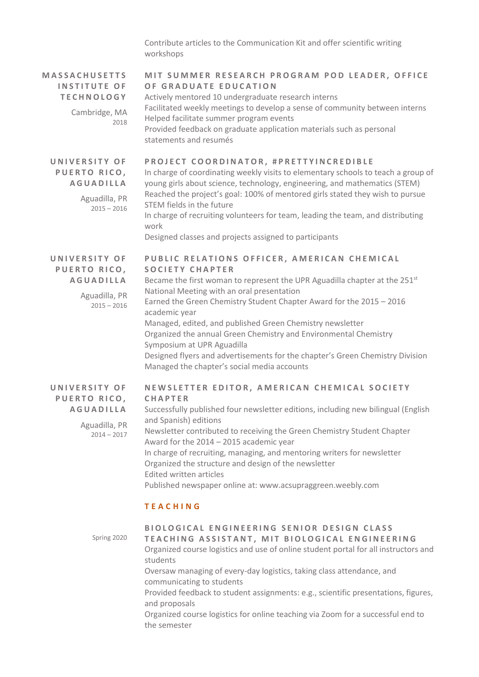Contribute articles to the Communication Kit and offer scientific writing workshops

| <b>MASSACHUSETTS</b><br><b>INSTITUTE OF</b><br><b>TECHNOLOGY</b><br>Cambridge, MA<br>2018 | MIT SUMMER RESEARCH PROGRAM POD LEADER, OFFICE<br>OF GRADUATE EDUCATION<br>Actively mentored 10 undergraduate research interns<br>Facilitated weekly meetings to develop a sense of community between interns<br>Helped facilitate summer program events<br>Provided feedback on graduate application materials such as personal<br>statements and resumés                                                                                                                                                                                                                                            |
|-------------------------------------------------------------------------------------------|-------------------------------------------------------------------------------------------------------------------------------------------------------------------------------------------------------------------------------------------------------------------------------------------------------------------------------------------------------------------------------------------------------------------------------------------------------------------------------------------------------------------------------------------------------------------------------------------------------|
| UNIVERSITY OF<br>PUERTO RICO,<br><b>AGUADILLA</b><br>Aguadilla, PR<br>$2015 - 2016$       | PROJECT COORDINATOR, #PRETTYINCREDIBLE<br>In charge of coordinating weekly visits to elementary schools to teach a group of<br>young girls about science, technology, engineering, and mathematics (STEM)<br>Reached the project's goal: 100% of mentored girls stated they wish to pursue<br>STEM fields in the future<br>In charge of recruiting volunteers for team, leading the team, and distributing<br>work<br>Designed classes and projects assigned to participants                                                                                                                          |
| UNIVERSITY OF<br>PUERTO RICO,<br><b>AGUADILLA</b><br>Aguadilla, PR<br>$2015 - 2016$       | PUBLIC RELATIONS OFFICER, AMERICAN CHEMICAL<br><b>SOCIETY CHAPTER</b><br>Became the first woman to represent the UPR Aguadilla chapter at the 251 <sup>st</sup><br>National Meeting with an oral presentation<br>Earned the Green Chemistry Student Chapter Award for the 2015 - 2016<br>academic year<br>Managed, edited, and published Green Chemistry newsletter<br>Organized the annual Green Chemistry and Environmental Chemistry<br>Symposium at UPR Aguadilla<br>Designed flyers and advertisements for the chapter's Green Chemistry Division<br>Managed the chapter's social media accounts |
| UNIVERSITY OF<br>PUERTO RICO,<br><b>AGUADILLA</b><br>Aguadilla, PR<br>$2014 - 2017$       | NEWSLETTER EDITOR, AMERICAN CHEMICAL SOCIETY<br><b>CHAPTER</b><br>Successfully published four newsletter editions, including new bilingual (English<br>and Spanish) editions<br>Newsletter contributed to receiving the Green Chemistry Student Chapter<br>Award for the 2014 - 2015 academic year<br>In charge of recruiting, managing, and mentoring writers for newsletter<br>Organized the structure and design of the newsletter<br>Edited written articles<br>Published newspaper online at: www.acsupraggreen.weebly.com                                                                       |
|                                                                                           | <b>TEACHING</b>                                                                                                                                                                                                                                                                                                                                                                                                                                                                                                                                                                                       |
| Spring 2020                                                                               | BIOLOGICAL ENGINEERING SENIOR DESIGN CLASS<br>TEACHING ASSISTANT, MIT BIOLOGICAL ENGINEERING<br>Organized course logistics and use of online student portal for all instructors and<br>students<br>Oversaw managing of every-day logistics, taking class attendance, and<br>communicating to students<br>Provided feedback to student assignments: e.g., scientific presentations, figures,<br>and proposals<br>Organized course logistics for online togething via Zoom for a suscessful and to                                                                                                      |

Organized course logistics for online teaching via Zoom for a successful end to the semester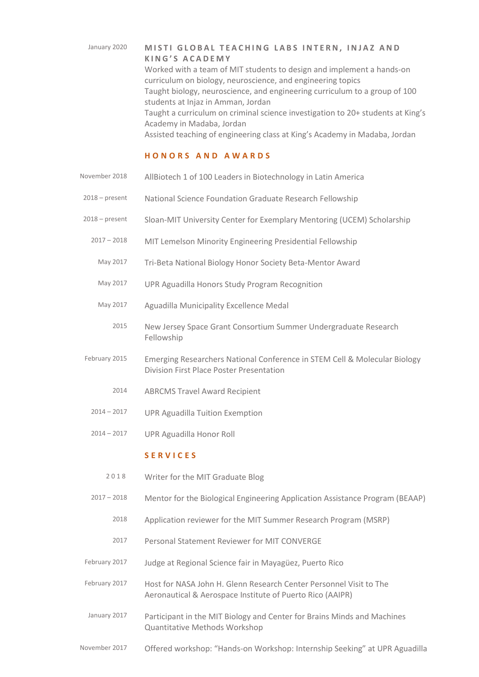## January 2020 **MISTI GLOBAL TEACHING LABS INTERN, INJAZ AND K I N G ' S A C A D E M Y**

Worked with a team of MIT students to design and implement a hands-on curriculum on biology, neuroscience, and engineering topics Taught biology, neuroscience, and engineering curriculum to a group of 100 students at Injaz in Amman, Jordan Taught a curriculum on criminal science investigation to 20+ students at King's Academy in Madaba, Jordan Assisted teaching of engineering class at King's Academy in Madaba, Jordan

#### **H O N O R S A N D A W A R D S**

- November 2018 AllBiotech 1 of 100 Leaders in Biotechnology in Latin America
- 2018 present National Science Foundation Graduate Research Fellowship
- 2018 present Sloan-MIT University Center for Exemplary Mentoring (UCEM) Scholarship
	- 2017 2018 MIT Lemelson Minority Engineering Presidential Fellowship
		- May 2017 Tri-Beta National Biology Honor Society Beta-Mentor Award
		- May 2017 UPR Aguadilla Honors Study Program Recognition
		- May 2017 Aguadilla Municipality Excellence Medal
			- 2015 New Jersey Space Grant Consortium Summer Undergraduate Research Fellowship
- February 2015 Emerging Researchers National Conference in STEM Cell & Molecular Biology Division First Place Poster Presentation
	- 2014 ABRCMS Travel Award Recipient
	- 2014 2017 UPR Aguadilla Tuition Exemption
	- 2014 2017 UPR Aguadilla Honor Roll

## **S E R V I C E S**

- 2018 Writer for the MIT Graduate Blog
- 2017 2018 Mentor for the Biological Engineering Application Assistance Program (BEAAP)
	- 2018 Application reviewer for the MIT Summer Research Program (MSRP)
	- 2017 Personal Statement Reviewer for MIT CONVERGE
- February 2017 Judge at Regional Science fair in Mayagüez, Puerto Rico
- February 2017 Host for NASA John H. Glenn Research Center Personnel Visit to The Aeronautical & Aerospace Institute of Puerto Rico (AAIPR)
- January 2017 Participant in the MIT Biology and Center for Brains Minds and Machines Quantitative Methods Workshop
- November 2017 Offered workshop: "Hands-on Workshop: Internship Seeking" at UPR Aguadilla